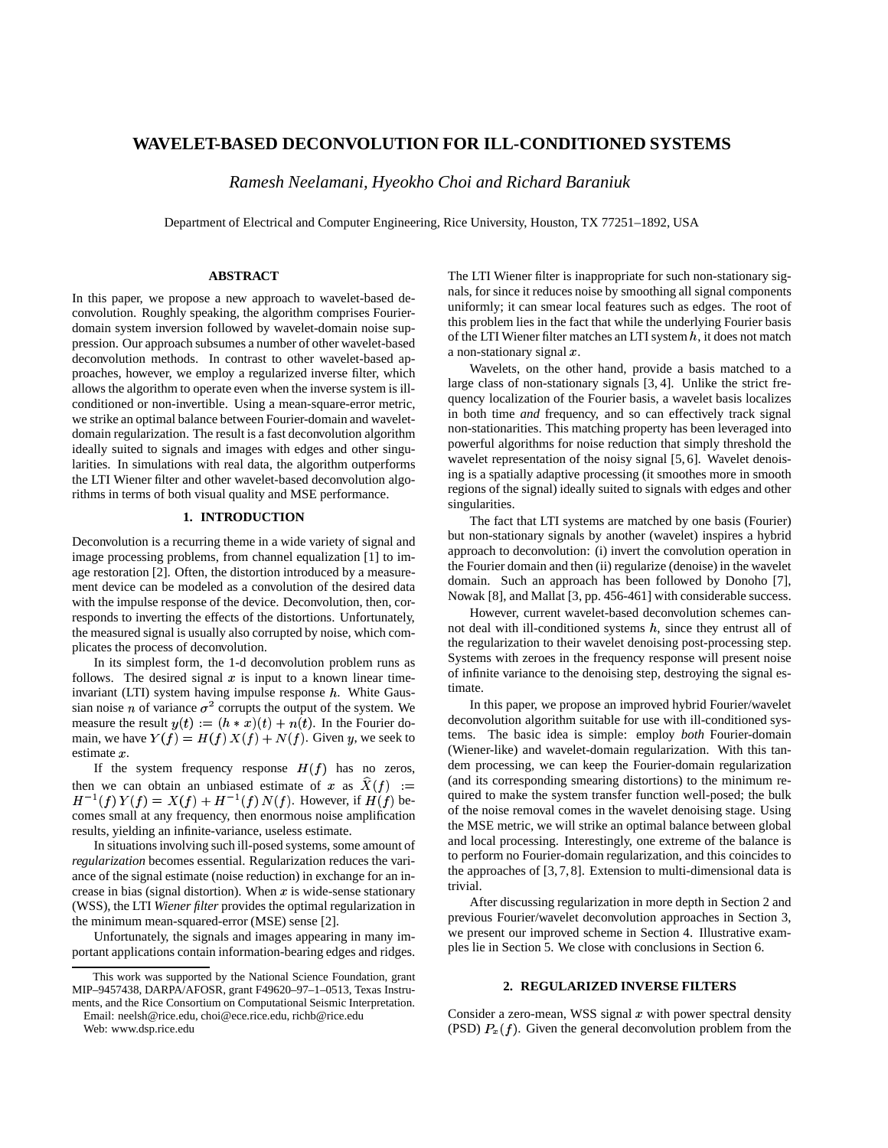# **WAVELET-BASED DECONVOLUTION FOR ILL-CONDITIONED SYSTEMS**

*Ramesh Neelamani, Hyeokho Choi and Richard Baraniuk*

Department of Electrical and Computer Engineering, Rice University, Houston, TX 77251–1892, USA

### **ABSTRACT**

In this paper, we propose a new approach to wavelet-based deconvolution. Roughly speaking, the algorithm comprises Fourierdomain system inversion followed by wavelet-domain noise suppression. Our approach subsumes a number of other wavelet-based deconvolution methods. In contrast to other wavelet-based approaches, however, we employ a regularized inverse filter, which allows the algorithm to operate even when the inverse system is illconditioned or non-invertible. Using a mean-square-error metric, we strike an optimal balance between Fourier-domain and waveletdomain regularization. The result is a fast deconvolution algorithm ideally suited to signals and images with edges and other singularities. In simulations with real data, the algorithm outperforms the LTI Wiener filter and other wavelet-based deconvolution algorithms in terms of both visual quality and MSE performance.

# **1. INTRODUCTION**

Deconvolution is a recurring theme in a wide variety of signal and image processing problems, from channel equalization [1] to image restoration [2]. Often, the distortion introduced by a measurement device can be modeled as a convolution of the desired data with the impulse response of the device. Deconvolution, then, corresponds to inverting the effects of the distortions. Unfortunately, the measured signal is usually also corrupted by noise, which complicates the process of deconvolution.

In its simplest form, the 1-d deconvolution problem runs as follows. The desired signal  $x$  is input to a known linear timeinvariant (LTI) system having impulse response  $h$ . White Gaussian noise *n* of variance  $\sigma^2$  corrupts the output of the system. We measure the result  $y(t) := (h * x)(t) + n(t)$ . In the Fourier domain, we have  $Y(f) = H(f) X(f) + N(f)$ . Given y, we seek to estimate  $x$ .

If the system frequency response  $H(f)$  has no zeros, then we can obtain an unbiased estimate of x as  $X(f)$  =  $\qquad$  (and its or  $H^{-1}(f)Y(f) = X(f) + H^{-1}(f)N(f)$ . However, if  $H(f)$  becomes small at any frequency, then enormous noise amplification results, yielding an infinite-variance, useless estimate.

In situationsinvolving such ill-posed systems, some amount of *regularization* becomes essential. Regularization reduces the variance of the signal estimate (noise reduction) in exchange for an increase in bias (signal distortion). When  $x$  is wide-sense stationary (WSS), the LTI *Wiener filter* provides the optimal regularization in the minimum mean-squared-error (MSE) sense [2].

Unfortunately, the signals and images appearing in many important applications contain information-bearing edges and ridges.

Email: neelsh@rice.edu, choi@ece.rice.edu, richb@rice.edu Web: www.dsp.rice.edu

The LTI Wiener filter is inappropriate for such non-stationary signals, for since it reduces noise by smoothing all signal components uniformly; it can smear local features such as edges. The root of this problem lies in the fact that while the underlying Fourier basis of the LTI Wiener filter matches an LTI system  $h$ , it does not match a non-stationary signal  $x$ .

Wavelets, on the other hand, provide a basis matched to a large class of non-stationary signals [3, 4]. Unlike the strict frequency localization of the Fourier basis, a wavelet basis localizes in both time *and* frequency, and so can effectively track signal non-stationarities. This matching property has been leveraged into powerful algorithms for noise reduction that simply threshold the wavelet representation of the noisy signal [5, 6]. Wavelet denoising is a spatially adaptive processing (it smoothes more in smooth regions of the signal) ideally suited to signals with edges and other singularities.

The fact that LTI systems are matched by one basis (Fourier) but non-stationary signals by another (wavelet) inspires a hybrid approach to deconvolution: (i) invert the convolution operation in the Fourier domain and then (ii) regularize (denoise) in the wavelet domain. Such an approach has been followed by Donoho [7], Nowak [8], and Mallat [3, pp. 456-461] with considerable success.

However, current wavelet-based deconvolution schemes cannot deal with ill-conditioned systems  $h$ , since they entrust all of the regularization to their wavelet denoising post-processing step. Systems with zeroes in the frequency response will present noise of infinite variance to the denoising step, destroying the signal estimate.

In this paper, we propose an improved hybrid Fourier/wavelet deconvolution algorithm suitable for use with ill-conditioned systems. The basic idea is simple: employ *both* Fourier-domain (Wiener-like) and wavelet-domain regularization. With this tandem processing, we can keep the Fourier-domain regularization (and its corresponding smearing distortions) to the minimum required to make the system transfer function well-posed; the bulk of the noise removal comes in the wavelet denoising stage. Using the MSE metric, we will strike an optimal balance between global and local processing. Interestingly, one extreme of the balance is to perform no Fourier-domain regularization, and this coincides to the approaches of [3, 7, 8]. Extension to multi-dimensional data is trivial.

After discussing regularization in more depth in Section 2 and previous Fourier/wavelet deconvolution approaches in Section 3, we present our improved scheme in Section 4. Illustrative examples lie in Section 5. We close with conclusions in Section 6.

### **2. REGULARIZED INVERSE FILTERS**

Consider a zero-mean, WSS signal  $x$  with power spectral density (PSD)  $P_x(f)$ . Given the general deconvolution problem from the

This work was supported by the National Science Foundation, grant MIP–9457438, DARPA/AFOSR, grant F49620–97–1–0513, Texas Instruments, and the Rice Consortium on Computational Seismic Interpretation.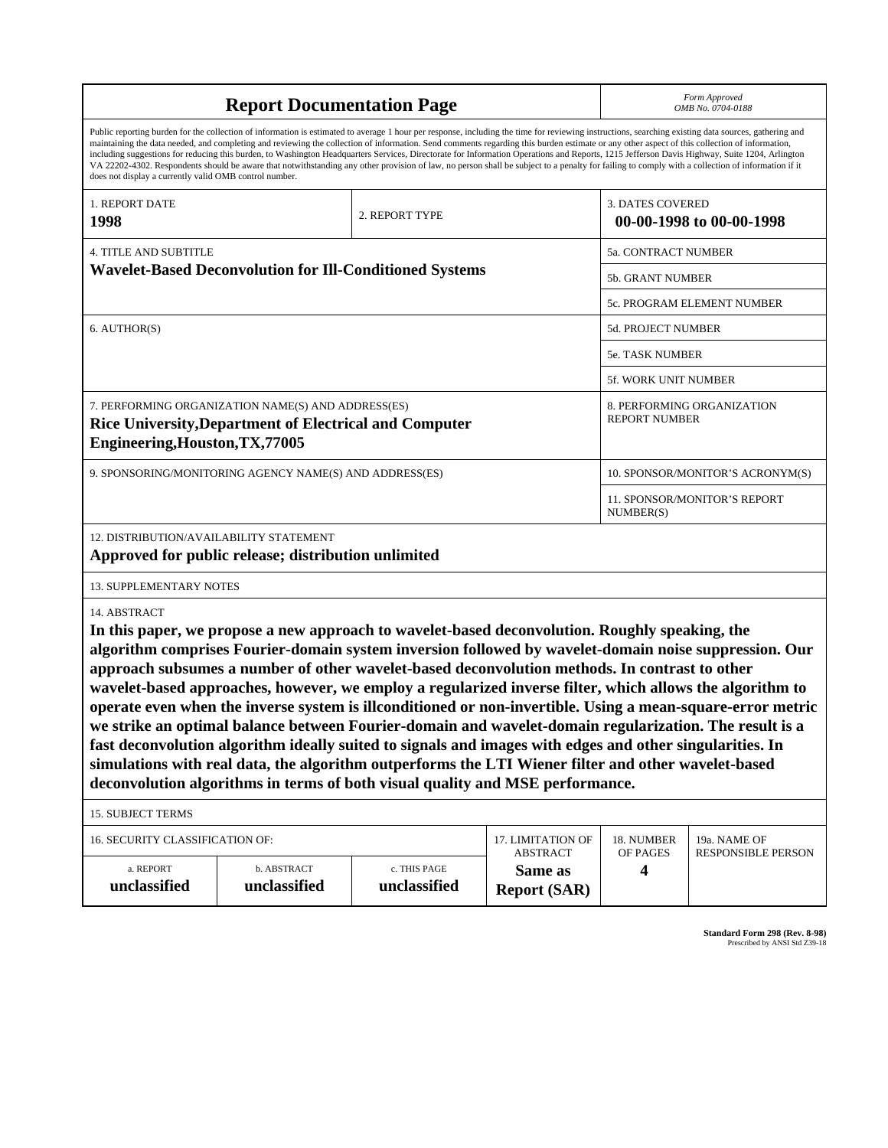| <b>Report Documentation Page</b>                                                                                                                                                                                                                                                                                                                                                                                                                                                                                                                                                                                                                                                                                                                                                                                                                                                                                                                                 |                                      |                                                    |                                           | Form Approved<br>OMB No. 0704-0188 |                          |  |
|------------------------------------------------------------------------------------------------------------------------------------------------------------------------------------------------------------------------------------------------------------------------------------------------------------------------------------------------------------------------------------------------------------------------------------------------------------------------------------------------------------------------------------------------------------------------------------------------------------------------------------------------------------------------------------------------------------------------------------------------------------------------------------------------------------------------------------------------------------------------------------------------------------------------------------------------------------------|--------------------------------------|----------------------------------------------------|-------------------------------------------|------------------------------------|--------------------------|--|
| Public reporting burden for the collection of information is estimated to average 1 hour per response, including the time for reviewing instructions, searching existing data sources, gathering and<br>maintaining the data needed, and completing and reviewing the collection of information. Send comments regarding this burden estimate or any other aspect of this collection of information,<br>including suggestions for reducing this burden, to Washington Headquarters Services, Directorate for Information Operations and Reports, 1215 Jefferson Davis Highway, Suite 1204, Arlington<br>VA 22202-4302. Respondents should be aware that notwithstanding any other provision of law, no person shall be subject to a penalty for failing to comply with a collection of information if it<br>does not display a currently valid OMB control number.                                                                                               |                                      |                                                    |                                           |                                    |                          |  |
| 1. REPORT DATE<br>1998                                                                                                                                                                                                                                                                                                                                                                                                                                                                                                                                                                                                                                                                                                                                                                                                                                                                                                                                           |                                      | 2. REPORT TYPE                                     |                                           | <b>3. DATES COVERED</b>            | 00-00-1998 to 00-00-1998 |  |
| <b>4. TITLE AND SUBTITLE</b>                                                                                                                                                                                                                                                                                                                                                                                                                                                                                                                                                                                                                                                                                                                                                                                                                                                                                                                                     |                                      | 5a. CONTRACT NUMBER                                |                                           |                                    |                          |  |
| <b>Wavelet-Based Deconvolution for Ill-Conditioned Systems</b>                                                                                                                                                                                                                                                                                                                                                                                                                                                                                                                                                                                                                                                                                                                                                                                                                                                                                                   |                                      | 5b. GRANT NUMBER                                   |                                           |                                    |                          |  |
|                                                                                                                                                                                                                                                                                                                                                                                                                                                                                                                                                                                                                                                                                                                                                                                                                                                                                                                                                                  |                                      | 5c. PROGRAM ELEMENT NUMBER                         |                                           |                                    |                          |  |
| 6. AUTHOR(S)                                                                                                                                                                                                                                                                                                                                                                                                                                                                                                                                                                                                                                                                                                                                                                                                                                                                                                                                                     |                                      | 5d. PROJECT NUMBER                                 |                                           |                                    |                          |  |
|                                                                                                                                                                                                                                                                                                                                                                                                                                                                                                                                                                                                                                                                                                                                                                                                                                                                                                                                                                  |                                      |                                                    |                                           | 5e. TASK NUMBER                    |                          |  |
|                                                                                                                                                                                                                                                                                                                                                                                                                                                                                                                                                                                                                                                                                                                                                                                                                                                                                                                                                                  |                                      |                                                    |                                           | 5f. WORK UNIT NUMBER               |                          |  |
| 7. PERFORMING ORGANIZATION NAME(S) AND ADDRESS(ES)<br><b>Rice University, Department of Electrical and Computer</b><br>Engineering, Houston, TX, 77005                                                                                                                                                                                                                                                                                                                                                                                                                                                                                                                                                                                                                                                                                                                                                                                                           |                                      | 8. PERFORMING ORGANIZATION<br><b>REPORT NUMBER</b> |                                           |                                    |                          |  |
| 9. SPONSORING/MONITORING AGENCY NAME(S) AND ADDRESS(ES)                                                                                                                                                                                                                                                                                                                                                                                                                                                                                                                                                                                                                                                                                                                                                                                                                                                                                                          |                                      |                                                    |                                           | 10. SPONSOR/MONITOR'S ACRONYM(S)   |                          |  |
|                                                                                                                                                                                                                                                                                                                                                                                                                                                                                                                                                                                                                                                                                                                                                                                                                                                                                                                                                                  |                                      | 11. SPONSOR/MONITOR'S REPORT<br>NUMBER(S)          |                                           |                                    |                          |  |
| 12. DISTRIBUTION/AVAILABILITY STATEMENT<br>Approved for public release; distribution unlimited                                                                                                                                                                                                                                                                                                                                                                                                                                                                                                                                                                                                                                                                                                                                                                                                                                                                   |                                      |                                                    |                                           |                                    |                          |  |
| <b>13. SUPPLEMENTARY NOTES</b>                                                                                                                                                                                                                                                                                                                                                                                                                                                                                                                                                                                                                                                                                                                                                                                                                                                                                                                                   |                                      |                                                    |                                           |                                    |                          |  |
| 14. ABSTRACT<br>In this paper, we propose a new approach to wavelet-based deconvolution. Roughly speaking, the<br>algorithm comprises Fourier-domain system inversion followed by wavelet-domain noise suppression. Our<br>approach subsumes a number of other wavelet-based deconvolution methods. In contrast to other<br>wavelet-based approaches, however, we employ a regularized inverse filter, which allows the algorithm to<br>operate even when the inverse system is illconditioned or non-invertible. Using a mean-square-error metric<br>we strike an optimal balance between Fourier-domain and wavelet-domain regularization. The result is a<br>fast deconvolution algorithm ideally suited to signals and images with edges and other singularities. In<br>simulations with real data, the algorithm outperforms the LTI Wiener filter and other wavelet-based<br>deconvolution algorithms in terms of both visual quality and MSE performance. |                                      |                                                    |                                           |                                    |                          |  |
| <b>15. SUBJECT TERMS</b>                                                                                                                                                                                                                                                                                                                                                                                                                                                                                                                                                                                                                                                                                                                                                                                                                                                                                                                                         |                                      |                                                    |                                           |                                    |                          |  |
| 16. SECURITY CLASSIFICATION OF:                                                                                                                                                                                                                                                                                                                                                                                                                                                                                                                                                                                                                                                                                                                                                                                                                                                                                                                                  | 17. LIMITATION OF<br><b>ABSTRACT</b> | 18. NUMBER<br>OF PAGES                             | 19a. NAME OF<br><b>RESPONSIBLE PERSON</b> |                                    |                          |  |
| a. REPORT<br>unclassified                                                                                                                                                                                                                                                                                                                                                                                                                                                                                                                                                                                                                                                                                                                                                                                                                                                                                                                                        | b. ABSTRACT<br>unclassified          | c. THIS PAGE<br>unclassified                       | Same as<br><b>Report (SAR)</b>            | 4                                  |                          |  |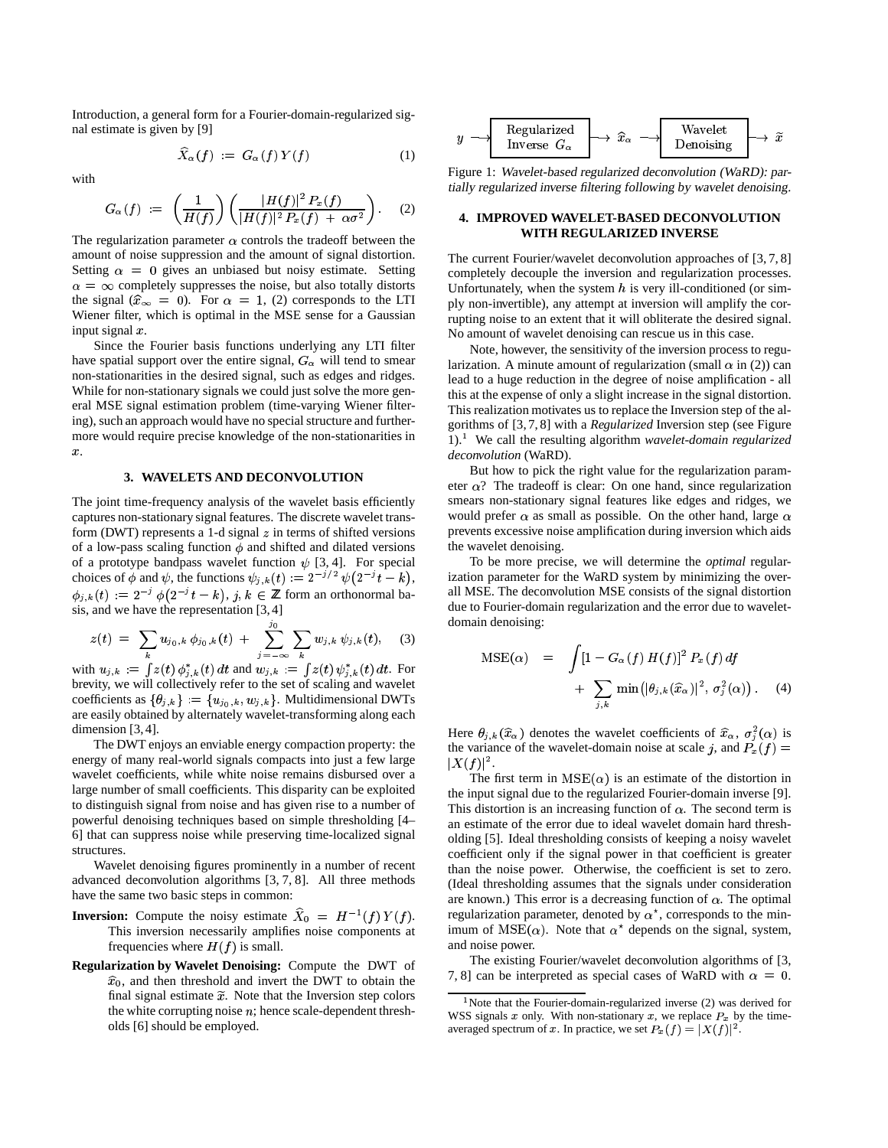Introduction, a general form for a Fourier-domain-regularized signal estimate is given by [9]

$$
\widehat{X}_{\alpha}(f) := G_{\alpha}(f)Y(f) \tag{1}
$$

with

$$
G_{\alpha}(f) := \left(\frac{1}{H(f)}\right) \left(\frac{|H(f)|^2 P_x(f)}{|H(f)|^2 P_x(f) + \alpha \sigma^2}\right). \quad (2)
$$

The regularization parameter  $\alpha$  controls the tradeoff between the amount of noise suppression and the amount of signal distortion. Setting  $\alpha = 0$  gives an unbiased but noisy estimate. Setting  $\alpha = \infty$  completely suppresses the noise, but also totally distorts the signal  $(\hat{x}_{\infty} = 0)$ . For  $\alpha = 1$ , (2) corresponds to the LTI Wiener filter, which is optimal in the MSE sense for a Gaussian input signal  $x$ .

Since the Fourier basis functions underlying any LTI filter have spatial support over the entire signal,  $G_{\alpha}$  will tend to smear non-stationarities in the desired signal, such as edges and ridges. While for non-stationary signals we could just solve the more general MSE signal estimation problem (time-varying Wiener filtering), such an approach would have no special structure and furthermore would require precise knowledge of the non-stationarities in  $x$ .

## **3. WAVELETS AND DECONVOLUTION**

The joint time-frequency analysis of the wavelet basis efficiently captures non-stationary signal features. The discrete wavelet transform (DWT) represents a 1-d signal  $z$  in terms of shifted versions of a low-pass scaling function  $\phi$  and shifted and dilated versions of a prototype bandpass wavelet function  $\psi$  [3, 4]. For special choices of  $\phi$  and  $\psi$ , the functions  $\psi_{j,k}(t) := 2^{-j/2} \psi(2^{-j}t - k)$ ,  $\phi_{j,k}(t) := 2^{-j} \phi(2^{-j}t - k), j, k \in \mathbb{Z}$  form an orthonormal basis, and we have the representation [3, 4]

$$
z(t) = \sum_{k} u_{j_0,k} \phi_{j_0,k}(t) + \sum_{j=-\infty}^{j_0} \sum_{k} w_{j,k} \psi_{j,k}(t), \quad (3)
$$

with  $u_{j,k} := \int z(t) \phi_{j,k}^*(t) dt$  and  $w_{j,k} := \int z(t) \psi_{j,k}^*(t) dt$ . For brevity, we will collectively refer to the set of scaling and wavelet coefficients as  $\{\theta_{j,k}\} := \{u_{j_0,k}, w_{j,k}\}\$ . Multidimensional DWTs<br>are easily obtained by alternately wavelet-transforming along each are easily obtained by alternately wavelet-transforming along each dimension [3, 4].

The DWT enjoys an enviable energy compaction property: the energy of many real-world signals compacts into just a few large wavelet coefficients, while white noise remains disbursed over a large number of small coefficients. This disparity can be exploited to distinguish signal from noise and has given rise to a number of powerful denoising techniques based on simple thresholding [4– 6] that can suppress noise while preserving time-localized signal structures.

Wavelet denoising figures prominently in a number of recent advanced deconvolution algorithms [3, 7, 8]. All three methods have the same two basic steps in common:

- **Inversion:** Compute the noisy estimate  $\widehat{X}_0 = H^{-1}(f)Y(f)$ . This inversion necessarily amplifies noise components at frequencies where  $H(f)$  is small.
- **Regularization by Wavelet Denoising:** Compute the DWT of final signal estimate  $\tilde{x}$ . Note that the Inversion step colors  $\hat{x}_0$ , and then threshold and invert the DWT to obtain the the white corrupting noise  $n$ ; hence scale-dependent thresholds [6] should be employed.



Figure 1: Wavelet-based regularized deconvolution (WaRD): partially regularized inverse filtering following by wavelet denoising.

#### **4. IMPROVED WAVELET-BASED DECONVOLUTION WITH REGULARIZED INVERSE**

The current Fourier/wavelet deconvolution approaches of [3, 7, 8] completely decouple the inversion and regularization processes. Unfortunately, when the system  $h$  is very ill-conditioned (or simply non-invertible), any attempt at inversion will amplify the corrupting noise to an extent that it will obliterate the desired signal. No amount of wavelet denoising can rescue us in this case.

Note, however, the sensitivity of the inversion process to regularization. A minute amount of regularization (small  $\alpha$  in (2)) can lead to a huge reduction in the degree of noise amplification - all this at the expense of only a slight increase in the signal distortion. This realization motivates us to replace the Inversion step of the algorithms of [3, 7, 8] with a *Regularized* Inversion step (see Figure 1). ) We call the resulting algorithm *wavelet-domain regularized deconvolution* (WaRD).

But how to pick the right value for the regularization parameter  $\alpha$ ? The tradeoff is clear: On one hand, since regularization smears non-stationary signal features like edges and ridges, we would prefer  $\alpha$  as small as possible. On the other hand, large  $\alpha$ prevents excessive noise amplification during inversion which aids the wavelet denoising.

To be more precise, we will determine the *optimal* regularization parameter for the WaRD system by minimizing the overall MSE. The deconvolution MSE consists of the signal distortion due to Fourier-domain regularization and the error due to waveletdomain denoising:

$$
MSE(\alpha) = \int [1 - G_{\alpha}(f) H(f)]^2 P_x(f) df
$$
  
+ 
$$
\sum_{j,k} \min(|\theta_{j,k}(\hat{x}_{\alpha})|^2, \sigma_j^2(\alpha)).
$$
 (4)

Here  $\theta_{j,k}(\hat{x}_{\alpha})$  denotes the wavelet coefficients of  $\hat{x}_{\alpha}, \sigma^2_{i}(\alpha)$  is the variance of the wavelet-domain noise at scale j, and  $\overline{P}_x(f) =$  $|X(f)|^2$ .

The first term in  $MSE(\alpha)$  is an estimate of the distortion in the input signal due to the regularized Fourier-domain inverse [9]. This distortion is an increasing function of  $\alpha$ . The second term is an estimate of the error due to ideal wavelet domain hard thresholding [5]. Ideal thresholding consists of keeping a noisy wavelet coefficient only if the signal power in that coefficient is greater than the noise power. Otherwise, the coefficient is set to zero. (Ideal thresholding assumes that the signals under consideration are known.) This error is a decreasing function of  $\alpha$ . The optimal regularization parameter, denoted by  $\alpha^*$ , corresponds to the minimum of  $MSE(\alpha)$ . Note that  $\alpha^*$  depends on the signal, system, and noise power.

The existing Fourier/wavelet deconvolution algorithms of [3, 7, 8] can be interpreted as special cases of WaRD with  $\alpha = 0$ .

<sup>&</sup>lt;sup>1</sup> Note that the Fourier-domain-regularized inverse  $(2)$  was derived for WSS signals  $x$  only. With non-stationary  $x$ , we replace  $P_x$  by the timeaveraged spectrum of x. In practice, we set  $P_x(f) = |X(f)|^2$ .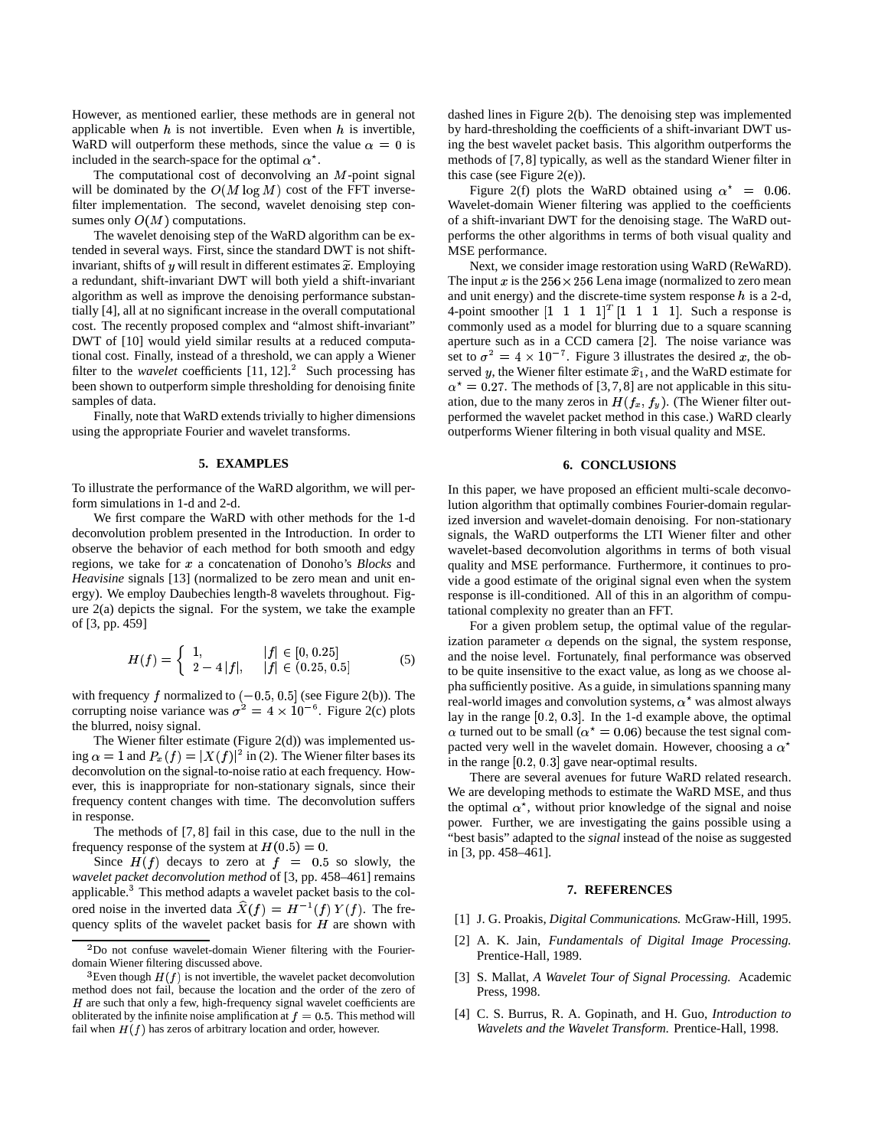However, as mentioned earlier, these methods are in general not applicable when  $h$  is not invertible. Even when  $h$  is invertible, WaRD will outperform these methods, since the value  $\alpha = 0$  is included in the search-space for the optimal  $\alpha^*$ .

The computational cost of deconvolving an  $M$ -point signal will be dominated by the  $O(M \log M)$  cost of the FFT inversefilter implementation. The second, wavelet denoising step consumes only  $O(M)$  computations.

The wavelet denoising step of the WaRD algorithm can be extended in several ways. First, since the standard DWT is not shiftinvariant, shifts of y will result in different estimates  $\tilde{x}$ . Employing a redundant, shift-invariant DWT will both yield a shift-invariant algorithm as well as improve the denoising performance substantially [4], all at no significant increase in the overall computational cost. The recently proposed complex and "almost shift-invariant" DWT of [10] would yield similar results at a reduced computational cost. Finally, instead of a threshold, we can apply a Wiener filter to the *wavelet* coefficients  $[11, 12]$ . Such processing has been shown to outperform simple thresholding for denoising finite samples of data.

Finally, note that WaRD extends trivially to higher dimensions using the appropriate Fourier and wavelet transforms.

### **5. EXAMPLES**

To illustrate the performance of the WaRD algorithm, we will perform simulations in 1-d and 2-d.

We first compare the WaRD with other methods for the 1-d deconvolution problem presented in the Introduction. In order to observe the behavior of each method for both smooth and edgy regions, we take for a concatenation of Donoho's *Blocks* and *Heavisine* signals [13] (normalized to be zero mean and unit energy). We employ Daubechies length-8 wavelets throughout. Figure  $2(a)$  depicts the signal. For the system, we take the example of [3, pp. 459]

$$
H(f) = \begin{cases} 1, & |f| \in [0, 0.25] \\ 2 - 4|f|, & |f| \in (0.25, 0.5] \end{cases} \tag{5}
$$

with frequency  $f$  normalized to  $(-0.5, 0.5]$  (see Figure 2(b)). The corrupting noise variance was  $\sigma^2 = 4 \times 10^{-6}$ . Figure 2(c) plots the blurred, noisy signal.

The Wiener filter estimate (Figure 2(d)) was implemented using  $\alpha = 1$  and  $P_x(f) = |X(f)|^2$  in (2). The Wiener filter bases its deconvolution on the signal-to-noise ratio at each frequency. However, this is inappropriate for non-stationary signals, since their frequency content changes with time. The deconvolution suffers in response.

The methods of [7, 8] fail in this case, due to the null in the frequency response of the system at  $H(0.5) = 0$ .

Since  $H(f)$  decays to zero at  $f = 0.5$  so slowly, the *wavelet packet deconvolution method* of [3, pp. 458–461] remains applicable.<sup>3</sup> This method adapts a wavelet packet basis to the colored noise in the inverted data  $\widehat{X}(f) = H^{-1}(f) Y(f)$ . The frequency splits of the wavelet packet basis for  $H$  are shown with

dashed lines in Figure 2(b). The denoising step was implemented by hard-thresholding the coefficients of a shift-invariant DWT using the best wavelet packet basis. This algorithm outperforms the methods of [7, 8] typically, as well as the standard Wiener filter in this case (see Figure 2(e)).

Figure 2(f) plots the WaRD obtained using  $\alpha^* = 0.06$ . Wavelet-domain Wiener filtering was applied to the coefficients of a shift-invariant DWT for the denoising stage. The WaRD outperforms the other algorithms in terms of both visual quality and MSE performance.

Next, we consider image restoration using WaRD (ReWaRD). The input x is the  $256 \times 256$  Lena image (normalized to zero mean and unit energy) and the discrete-time system response  $h$  is a 2-d, 4-point smoother  $\begin{bmatrix} 1 & 1 & 1 & 1 \end{bmatrix}^T \begin{bmatrix} 1 & 1 & 1 & 1 \end{bmatrix}$ . Such a response is commonly used as a model for blurring due to a square scanning aperture such as in a CCD camera [2]. The noise variance was set to  $\sigma^2 = 4 \times 10^{-7}$ . Figure 3 illustrates the desired x, the observed y, the Wiener filter estimate  $\hat{x}_1$ , and the WaRD estimate for  $\alpha^* = 0.27$ . The methods of [3,7,8] are not applicable in this situation, due to the many zeros in  $H(f_x, f_y)$ . (The Wiener filter outperformed the wavelet packet method in this case.) WaRD clearly outperforms Wiener filtering in both visual quality and MSE.

#### **6. CONCLUSIONS**

In this paper, we have proposed an efficient multi-scale deconvolution algorithm that optimally combines Fourier-domain regularized inversion and wavelet-domain denoising. For non-stationary signals, the WaRD outperforms the LTI Wiener filter and other wavelet-based deconvolution algorithms in terms of both visual quality and MSE performance. Furthermore, it continues to provide a good estimate of the original signal even when the system response is ill-conditioned. All of this in an algorithm of computational complexity no greater than an FFT.

For a given problem setup, the optimal value of the regularization parameter  $\alpha$  depends on the signal, the system response, and the noise level. Fortunately, final performance was observed to be quite insensitive to the exact value, as long as we choose alpha sufficiently positive. As a guide, in simulations spanning many real-world images and convolution systems,  $\alpha^*$  was almost always lay in the range  $[0.2, 0.3]$ . In the 1-d example above, the optimal  $\alpha$  turned out to be small ( $\alpha^* = 0.06$ ) because the test signal compacted very well in the wavelet domain. However, choosing a  $\alpha^*$ in the range  $[0.2, 0.3]$  gave near-optimal results.

There are several avenues for future WaRD related research. We are developing methods to estimate the WaRD MSE, and thus the optimal  $\alpha^*$ , without prior knowledge of the signal and noise power. Further, we are investigating the gains possible using a "best basis" adapted to the *signal* instead of the noise as suggested in [3, pp. 458–461].

#### **7. REFERENCES**

- [1] J. G. Proakis, *Digital Communications*. McGraw-Hill, 1995.
- [2] A. K. Jain, *Fundamentals of Digital Image Processing*. Prentice-Hall, 1989.
- [3] S. Mallat, *A Wavelet Tour of Signal Processing*. Academic Press, 1998.
- [4] C. S. Burrus, R. A. Gopinath, and H. Guo, *Introduction to Wavelets and the Wavelet Transform*. Prentice-Hall, 1998.

 $2$ Do not confuse wavelet-domain Wiener filtering with the Fourierdomain Wiener filtering discussed above.

<sup>&</sup>lt;sup>3</sup>Even though  $H(f)$  is not invertible, the wavelet packet deconvolution method does not fail, because the location and the order of the zero of  $H$  are such that only a few, high-frequency signal wavelet coefficients are obliterated by the infinite noise amplification at  $f = 0.5$ . This method will fail when  $H(f)$  has zeros of arbitrary location and order, however.